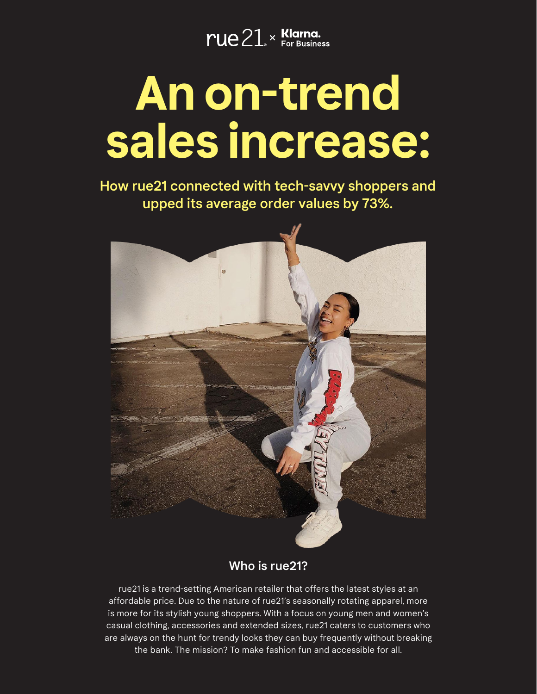$rule21<sub>*</sub> <sup>K</sup> <sub>For Business</sub> <sub>For Business</sub>$ 

# **An on-trend sales increase:**

How rue21 connected with tech-savvy shoppers and upped its average order values by 73%.



#### Who is rue21?

rue21 is a trend-setting American retailer that offers the latest styles at an affordable price. Due to the nature of rue21's seasonally rotating apparel, more is more for its stylish young shoppers. With a focus on young men and women's casual clothing, accessories and extended sizes, rue21 caters to customers who are always on the hunt for trendy looks they can buy frequently without breaking the bank. The mission? To make fashion fun and accessible for all.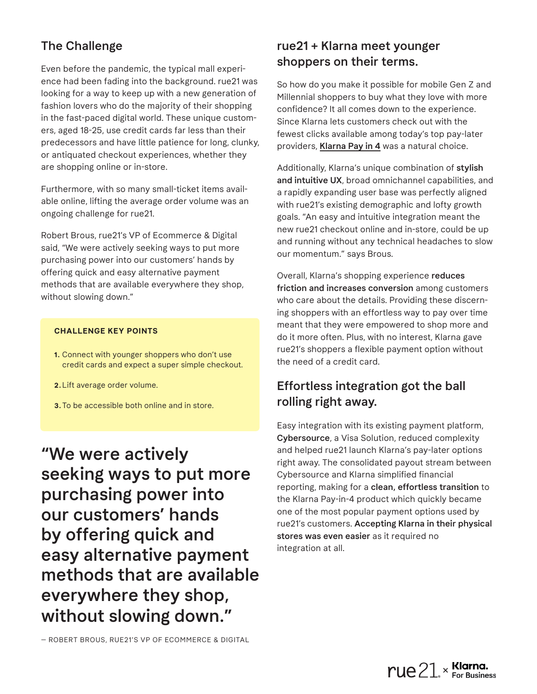## The Challenge

Even before the pandemic, the typical mall experience had been fading into the background. rue21 was looking for a way to keep up with a new generation of fashion lovers who do the majority of their shopping in the fast-paced digital world. These unique customers, aged 18-25, use credit cards far less than their predecessors and have little patience for long, clunky, or antiquated checkout experiences, whether they are shopping online or in-store.

Furthermore, with so many small-ticket items available online, lifting the average order volume was an ongoing challenge for rue21.

Robert Brous, rue21's VP of Ecommerce & Digital said, "We were actively seeking ways to put more purchasing power into our customers' hands by offering quick and easy alternative payment methods that are available everywhere they shop, without slowing down."

#### **CHALLENGE KEY POINTS**

- **1.** Connect with younger shoppers who don't use credit cards and expect a super simple checkout.
- **2.**Lift average order volume.
- **3.**To be accessible both online and in store.

"We were actively seeking ways to put more purchasing power into our customers' hands by offering quick and easy alternative payment methods that are available everywhere they shop, without slowing down."

rue21 + Klarna meet younger shoppers on their terms.

So how do you make it possible for mobile Gen Z and Millennial shoppers to buy what they love with more confidence? It all comes down to the experience. Since Klarna lets customers check out with the fewest clicks available among today's top pay-later providers, Klarna Pay in 4 was a natural choice.

Additionally, Klarna's unique combination of stylish and intuitive UX, broad omnichannel capabilities, and a rapidly expanding user base was perfectly aligned with rue21's existing demographic and lofty growth goals. "An easy and intuitive integration meant the new rue21 checkout online and in-store, could be up and running without any technical headaches to slow our momentum." says Brous.

Overall, Klarna's shopping experience reduces friction and increases conversion among customers who care about the details. Providing these discerning shoppers with an effortless way to pay over time meant that they were empowered to shop more and do it more often. Plus, with no interest, Klarna gave rue21's shoppers a flexible payment option without the need of a credit card.

### Effortless integration got the ball rolling right away.

Easy integration with its existing payment platform, Cybersource, a Visa Solution, reduced complexity and helped rue21 launch Klarna's pay-later options right away. The consolidated payout stream between Cybersource and Klarna simplified financial reporting, making for a clean, effortless transition to the Klarna Pay-in-4 product which quickly became one of the most popular payment options used by rue21's customers. Accepting Klarna in their physical stores was even easier as it required no integration at all.

— ROBERT BROUS, RUE21'S VP OF ECOMMERCE & DIGITAL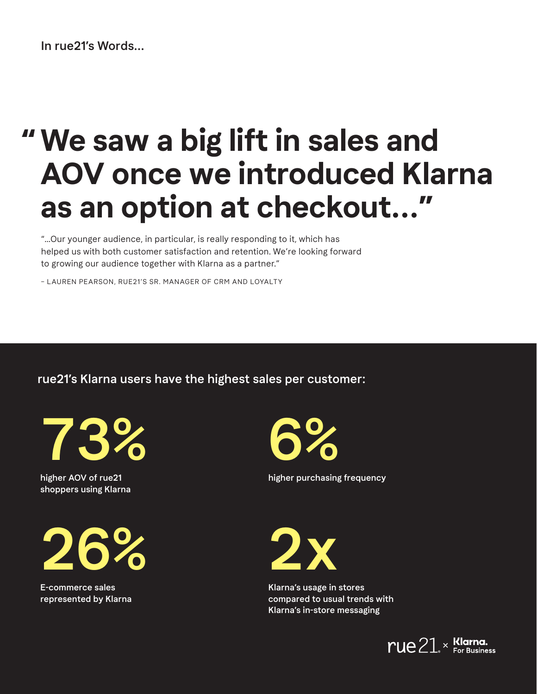#### In rue21's Words...

# **We saw a big lift in sales and " AOV once we introduced Klarna as an option at checkout..."**

"...Our younger audience, in particular, is really responding to it, which has helped us with both customer satisfaction and retention. We're looking forward to growing our audience together with Klarna as a partner."

– LAUREN PEARSON, RUE21'S SR. MANAGER OF CRM AND LOYALTY

rue21's Klarna users have the highest sales per customer:



higher AOV of rue21 shoppers using Klarna



E-commerce sales represented by Klarna 6%

higher purchasing frequency

2x

Klarna's usage in stores compared to usual trends with Klarna's in-store messaging